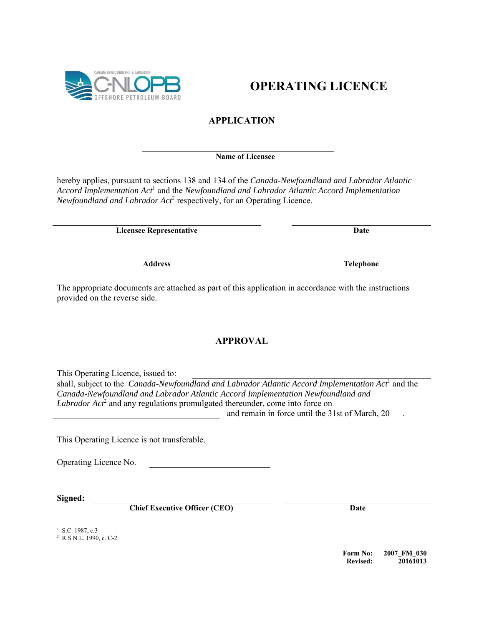**OPERATING LICENCE** 

## **APPLICATION**

## **Name of Licensee**

hereby applies, pursuant to sections 138 and 134 of the *Canada-Newfoundland and Labrador Atlantic*  Accord Implementation Act<sup>1</sup> and the *Newfoundland and Labrador Atlantic Accord Implementation* Newfoundland and Labrador Act<sup>2</sup> respectively, for an Operating Licence.

**Licensee Representative Date** 

The appropriate documents are attached as part of this application in accordance with the instructions provided on the reverse side.

## **APPROVAL**

This Operating Licence, issued to:

shall, subject to the *Canada-Newfoundland and Labrador Atlantic Accord Implementation Act*<sup>1</sup> and the *Canada-Newfoundland and Labrador Atlantic Accord Implementation Newfoundland and* Labrador Act<sup>2</sup> and any regulations promulgated thereunder, come into force on and remain in force until the 31st of March, 20 .

This Operating Licence is not transferable.

Operating Licence No.

**Signed:** 

**Chief Executive Officer (CEO)** Date

<sup>1</sup> S.C. 1987, c.3

2 R.S.N.L. 1990, c. C-2

**Form No: 2007\_FM\_030 Revised: 20161013** 

PETROLEUM ROA

CANADA-NEWFOUNDLAND & LABRADOR

**Address Telephone**